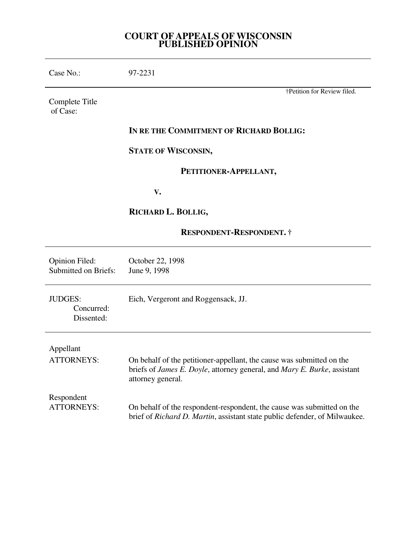# **COURT OF APPEALS OF WISCONSIN PUBLISHED OPINION**

| Case No.:                                            | 97-2231                                                                                                                                                                |
|------------------------------------------------------|------------------------------------------------------------------------------------------------------------------------------------------------------------------------|
| Complete Title<br>of Case:                           | †Petition for Review filed.                                                                                                                                            |
|                                                      | IN RE THE COMMITMENT OF RICHARD BOLLIG:                                                                                                                                |
|                                                      | <b>STATE OF WISCONSIN,</b>                                                                                                                                             |
|                                                      | PETITIONER-APPELLANT,                                                                                                                                                  |
|                                                      | V.                                                                                                                                                                     |
|                                                      | RICHARD L. BOLLIG,                                                                                                                                                     |
|                                                      | <b>RESPONDENT-RESPONDENT.</b> †                                                                                                                                        |
| <b>Opinion Filed:</b><br><b>Submitted on Briefs:</b> | October 22, 1998<br>June 9, 1998                                                                                                                                       |
| <b>JUDGES:</b><br>Concurred:<br>Dissented:           | Eich, Vergeront and Roggensack, JJ.                                                                                                                                    |
| Appellant<br><b>ATTORNEYS:</b>                       | On behalf of the petitioner-appellant, the cause was submitted on the<br>briefs of James E. Doyle, attorney general, and Mary E. Burke, assistant<br>attorney general. |
| Respondent<br><b>ATTORNEYS:</b>                      | On behalf of the respondent-respondent, the cause was submitted on the<br>brief of Richard D. Martin, assistant state public defender, of Milwaukee.                   |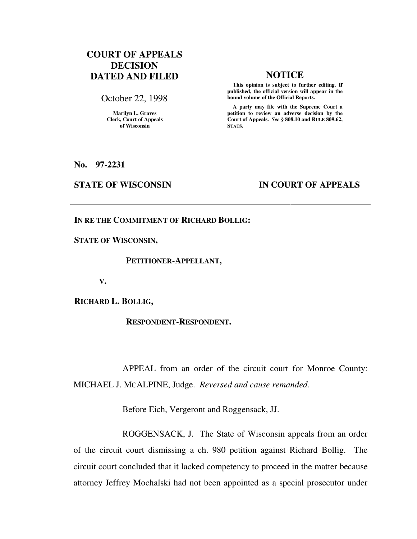# **COURT OF APPEALS DECISION DATED AND FILED NOTICE**

October 22, 1998

**Marilyn L. Graves Clerk, Court of Appeals of Wisconsin** 

 **This opinion is subject to further editing. If published, the official version will appear in the bound volume of the Official Reports.**

 **A party may file with the Supreme Court a petition to review an adverse decision by the Court of Appeals.** *See* **§ 808.10 and RULE 809.62, STATS.** 

**No. 97-2231** 

### **STATE OF WISCONSIN IN COURT OF APPEALS**

**IN RE THE COMMITMENT OF RICHARD BOLLIG:** 

**STATE OF WISCONSIN,** 

 **PETITIONER-APPELLANT,** 

 **V.** 

**RICHARD L. BOLLIG,** 

 **RESPONDENT-RESPONDENT.** 

 APPEAL from an order of the circuit court for Monroe County: MICHAEL J. MCALPINE, Judge. *Reversed and cause remanded.*

Before Eich, Vergeront and Roggensack, JJ.

 ROGGENSACK, J. The State of Wisconsin appeals from an order of the circuit court dismissing a ch. 980 petition against Richard Bollig. The circuit court concluded that it lacked competency to proceed in the matter because attorney Jeffrey Mochalski had not been appointed as a special prosecutor under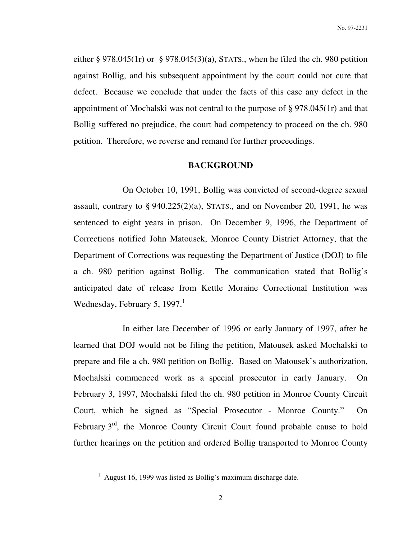either  $\S 978.045(1r)$  or  $\S 978.045(3)(a)$ , STATS., when he filed the ch. 980 petition against Bollig, and his subsequent appointment by the court could not cure that defect. Because we conclude that under the facts of this case any defect in the appointment of Mochalski was not central to the purpose of § 978.045(1r) and that Bollig suffered no prejudice, the court had competency to proceed on the ch. 980 petition. Therefore, we reverse and remand for further proceedings.

#### **BACKGROUND**

On October 10, 1991, Bollig was convicted of second-degree sexual assault, contrary to  $\S 940.225(2)(a)$ , STATS., and on November 20, 1991, he was sentenced to eight years in prison. On December 9, 1996, the Department of Corrections notified John Matousek, Monroe County District Attorney, that the Department of Corrections was requesting the Department of Justice (DOJ) to file a ch. 980 petition against Bollig. The communication stated that Bollig's anticipated date of release from Kettle Moraine Correctional Institution was Wednesday, February 5, 1997.<sup>1</sup>

 In either late December of 1996 or early January of 1997, after he learned that DOJ would not be filing the petition, Matousek asked Mochalski to prepare and file a ch. 980 petition on Bollig. Based on Matousek's authorization, Mochalski commenced work as a special prosecutor in early January. On February 3, 1997, Mochalski filed the ch. 980 petition in Monroe County Circuit Court, which he signed as "Special Prosecutor - Monroe County." On February  $3<sup>rd</sup>$ , the Monroe County Circuit Court found probable cause to hold further hearings on the petition and ordered Bollig transported to Monroe County

<sup>&</sup>lt;sup>1</sup> August 16, 1999 was listed as Bollig's maximum discharge date.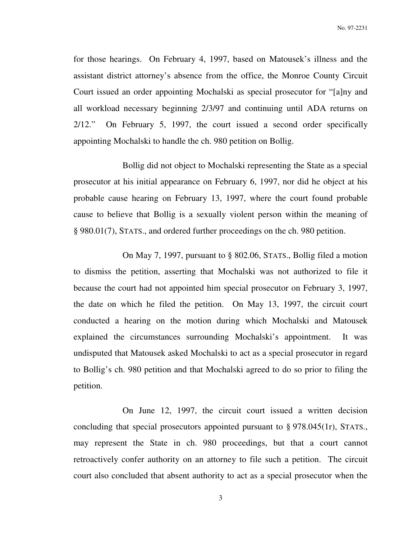for those hearings. On February 4, 1997, based on Matousek's illness and the assistant district attorney's absence from the office, the Monroe County Circuit Court issued an order appointing Mochalski as special prosecutor for "[a]ny and all workload necessary beginning 2/3/97 and continuing until ADA returns on 2/12." On February 5, 1997, the court issued a second order specifically appointing Mochalski to handle the ch. 980 petition on Bollig.

 Bollig did not object to Mochalski representing the State as a special prosecutor at his initial appearance on February 6, 1997, nor did he object at his probable cause hearing on February 13, 1997, where the court found probable cause to believe that Bollig is a sexually violent person within the meaning of § 980.01(7), STATS., and ordered further proceedings on the ch. 980 petition.

 On May 7, 1997, pursuant to § 802.06, STATS., Bollig filed a motion to dismiss the petition, asserting that Mochalski was not authorized to file it because the court had not appointed him special prosecutor on February 3, 1997, the date on which he filed the petition. On May 13, 1997, the circuit court conducted a hearing on the motion during which Mochalski and Matousek explained the circumstances surrounding Mochalski's appointment. It was undisputed that Matousek asked Mochalski to act as a special prosecutor in regard to Bollig's ch. 980 petition and that Mochalski agreed to do so prior to filing the petition.

 On June 12, 1997, the circuit court issued a written decision concluding that special prosecutors appointed pursuant to § 978.045(1r), STATS., may represent the State in ch. 980 proceedings, but that a court cannot retroactively confer authority on an attorney to file such a petition. The circuit court also concluded that absent authority to act as a special prosecutor when the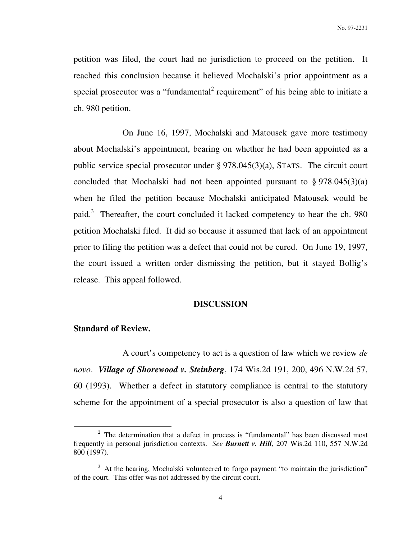petition was filed, the court had no jurisdiction to proceed on the petition. It reached this conclusion because it believed Mochalski's prior appointment as a special prosecutor was a "fundamental<sup>2</sup> requirement" of his being able to initiate a ch. 980 petition.

 On June 16, 1997, Mochalski and Matousek gave more testimony about Mochalski's appointment, bearing on whether he had been appointed as a public service special prosecutor under § 978.045(3)(a), STATS. The circuit court concluded that Mochalski had not been appointed pursuant to  $\S 978.045(3)(a)$ when he filed the petition because Mochalski anticipated Matousek would be paid.<sup>3</sup> Thereafter, the court concluded it lacked competency to hear the ch. 980 petition Mochalski filed. It did so because it assumed that lack of an appointment prior to filing the petition was a defect that could not be cured. On June 19, 1997, the court issued a written order dismissing the petition, but it stayed Bollig's release. This appeal followed.

#### **DISCUSSION**

#### **Standard of Review.**

 $\overline{a}$ 

A court's competency to act is a question of law which we review *de novo*. *Village of Shorewood v. Steinberg*, 174 Wis.2d 191, 200, 496 N.W.2d 57, 60 (1993). Whether a defect in statutory compliance is central to the statutory scheme for the appointment of a special prosecutor is also a question of law that

 $2$  The determination that a defect in process is "fundamental" has been discussed most frequently in personal jurisdiction contexts. *See Burnett v. Hill*, 207 Wis.2d 110, 557 N.W.2d 800 (1997).

<sup>&</sup>lt;sup>3</sup> At the hearing, Mochalski volunteered to forgo payment "to maintain the jurisdiction" of the court. This offer was not addressed by the circuit court.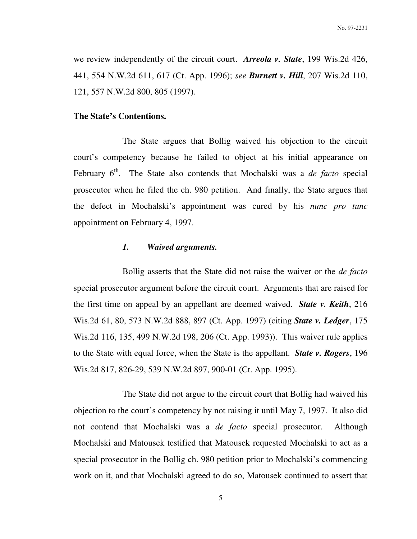we review independently of the circuit court. *Arreola v. State*, 199 Wis.2d 426, 441, 554 N.W.2d 611, 617 (Ct. App. 1996); *see Burnett v. Hill*, 207 Wis.2d 110, 121, 557 N.W.2d 800, 805 (1997).

### **The State's Contentions.**

 The State argues that Bollig waived his objection to the circuit court's competency because he failed to object at his initial appearance on February 6<sup>th</sup>. The State also contends that Mochalski was a *de facto* special prosecutor when he filed the ch. 980 petition. And finally, the State argues that the defect in Mochalski's appointment was cured by his *nunc pro tunc* appointment on February 4, 1997.

### *1. Waived arguments.*

 Bollig asserts that the State did not raise the waiver or the *de facto* special prosecutor argument before the circuit court. Arguments that are raised for the first time on appeal by an appellant are deemed waived. *State v. Keith*, 216 Wis.2d 61, 80, 573 N.W.2d 888, 897 (Ct. App. 1997) (citing *State v. Ledger*, 175 Wis.2d 116, 135, 499 N.W.2d 198, 206 (Ct. App. 1993)). This waiver rule applies to the State with equal force, when the State is the appellant. *State v. Rogers*, 196 Wis.2d 817, 826-29, 539 N.W.2d 897, 900-01 (Ct. App. 1995).

 The State did not argue to the circuit court that Bollig had waived his objection to the court's competency by not raising it until May 7, 1997. It also did not contend that Mochalski was a *de facto* special prosecutor. Although Mochalski and Matousek testified that Matousek requested Mochalski to act as a special prosecutor in the Bollig ch. 980 petition prior to Mochalski's commencing work on it, and that Mochalski agreed to do so, Matousek continued to assert that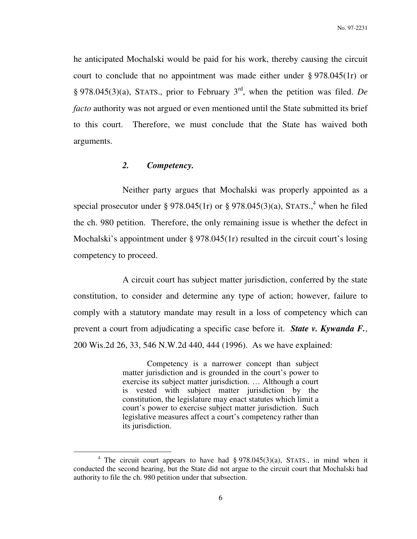he anticipated Mochalski would be paid for his work, thereby causing the circuit court to conclude that no appointment was made either under § 978.045(1r) or § 978.045(3)(a), STATS., prior to February 3rd, when the petition was filed. *De facto* authority was not argued or even mentioned until the State submitted its brief to this court. Therefore, we must conclude that the State has waived both arguments.

## *2. Competency.*

 $\overline{a}$ 

 Neither party argues that Mochalski was properly appointed as a special prosecutor under § 978.045(1r) or § 978.045(3)(a), STATS.,<sup>4</sup> when he filed the ch. 980 petition. Therefore, the only remaining issue is whether the defect in Mochalski's appointment under § 978.045(1r) resulted in the circuit court's losing competency to proceed.

A circuit court has subject matter jurisdiction, conferred by the state constitution, to consider and determine any type of action; however, failure to comply with a statutory mandate may result in a loss of competency which can prevent a court from adjudicating a specific case before it. *State v. Kywanda F.*, 200 Wis.2d 26, 33, 546 N.W.2d 440, 444 (1996). As we have explained:

> Competency is a narrower concept than subject matter jurisdiction and is grounded in the court's power to exercise its subject matter jurisdiction. … Although a court is vested with subject matter jurisdiction by the constitution, the legislature may enact statutes which limit a court's power to exercise subject matter jurisdiction. Such legislative measures affect a court's competency rather than its jurisdiction.

<sup>&</sup>lt;sup>4</sup> The circuit court appears to have had  $\S 978.045(3)(a)$ , STATS., in mind when it conducted the second hearing, but the State did not argue to the circuit court that Mochalski had authority to file the ch. 980 petition under that subsection.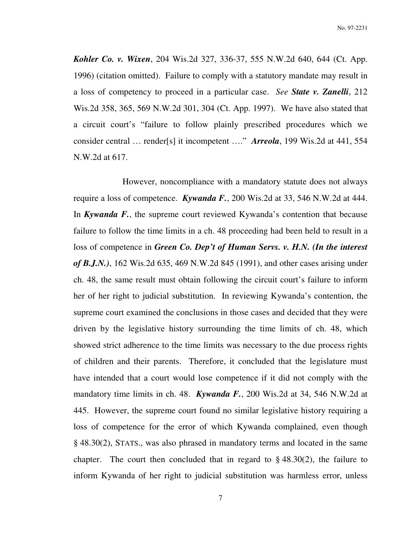No. 97-2231

*Kohler Co. v. Wixen*, 204 Wis.2d 327, 336-37, 555 N.W.2d 640, 644 (Ct. App. 1996) (citation omitted). Failure to comply with a statutory mandate may result in a loss of competency to proceed in a particular case. *See State v. Zanelli*, 212 Wis.2d 358, 365, 569 N.W.2d 301, 304 (Ct. App. 1997). We have also stated that a circuit court's "failure to follow plainly prescribed procedures which we consider central … render[s] it incompetent …." *Arreola*, 199 Wis.2d at 441, 554 N.W.2d at 617.

 However, noncompliance with a mandatory statute does not always require a loss of competence. *Kywanda F.*, 200 Wis.2d at 33, 546 N.W.2d at 444. In *Kywanda F.*, the supreme court reviewed Kywanda's contention that because failure to follow the time limits in a ch. 48 proceeding had been held to result in a loss of competence in *Green Co. Dep't of Human Servs. v. H.N.* (In the interest *of B.J.N.)*, 162 Wis.2d 635, 469 N.W.2d 845 (1991), and other cases arising under ch. 48, the same result must obtain following the circuit court's failure to inform her of her right to judicial substitution. In reviewing Kywanda's contention, the supreme court examined the conclusions in those cases and decided that they were driven by the legislative history surrounding the time limits of ch. 48, which showed strict adherence to the time limits was necessary to the due process rights of children and their parents. Therefore, it concluded that the legislature must have intended that a court would lose competence if it did not comply with the mandatory time limits in ch. 48. *Kywanda F.*, 200 Wis.2d at 34, 546 N.W.2d at 445. However, the supreme court found no similar legislative history requiring a loss of competence for the error of which Kywanda complained, even though § 48.30(2), STATS., was also phrased in mandatory terms and located in the same chapter. The court then concluded that in regard to  $\S$  48.30(2), the failure to inform Kywanda of her right to judicial substitution was harmless error, unless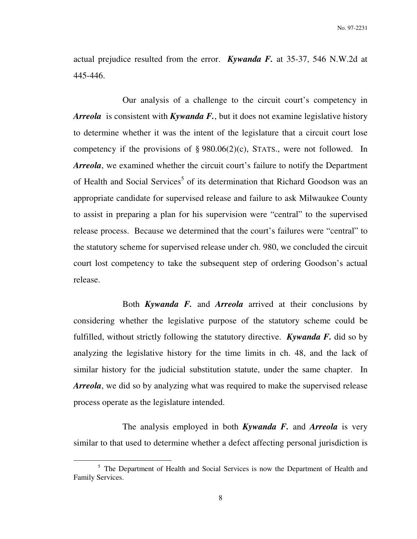actual prejudice resulted from the error. *Kywanda F.* at 35-37, 546 N.W.2d at 445-446.

 Our analysis of a challenge to the circuit court's competency in *Arreola* is consistent with *Kywanda F.*, but it does not examine legislative history to determine whether it was the intent of the legislature that a circuit court lose competency if the provisions of  $\S 980.06(2)(c)$ , STATS., were not followed. In *Arreola*, we examined whether the circuit court's failure to notify the Department of Health and Social Services<sup>5</sup> of its determination that Richard Goodson was an appropriate candidate for supervised release and failure to ask Milwaukee County to assist in preparing a plan for his supervision were "central" to the supervised release process. Because we determined that the court's failures were "central" to the statutory scheme for supervised release under ch. 980, we concluded the circuit court lost competency to take the subsequent step of ordering Goodson's actual release.

 Both *Kywanda F.* and *Arreola* arrived at their conclusions by considering whether the legislative purpose of the statutory scheme could be fulfilled, without strictly following the statutory directive. *Kywanda F.* did so by analyzing the legislative history for the time limits in ch. 48, and the lack of similar history for the judicial substitution statute, under the same chapter. In *Arreola*, we did so by analyzing what was required to make the supervised release process operate as the legislature intended.

 The analysis employed in both *Kywanda F.* and *Arreola* is very similar to that used to determine whether a defect affecting personal jurisdiction is

<sup>&</sup>lt;sup>5</sup> The Department of Health and Social Services is now the Department of Health and Family Services.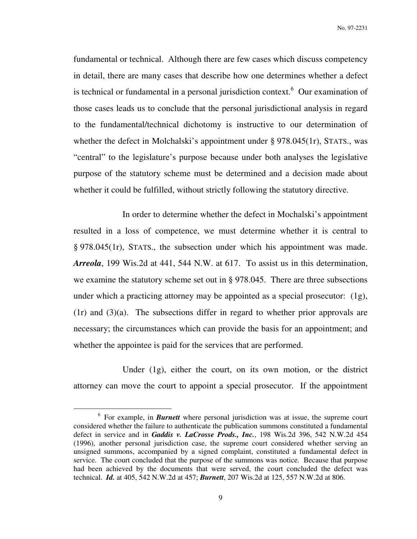fundamental or technical. Although there are few cases which discuss competency in detail, there are many cases that describe how one determines whether a defect is technical or fundamental in a personal jurisdiction context.<sup>6</sup> Our examination of those cases leads us to conclude that the personal jurisdictional analysis in regard to the fundamental/technical dichotomy is instructive to our determination of whether the defect in Molchalski's appointment under § 978.045(1r), STATS., was "central" to the legislature's purpose because under both analyses the legislative purpose of the statutory scheme must be determined and a decision made about whether it could be fulfilled, without strictly following the statutory directive.

 In order to determine whether the defect in Mochalski's appointment resulted in a loss of competence, we must determine whether it is central to § 978.045(1r), STATS., the subsection under which his appointment was made. *Arreola*, 199 Wis.2d at 441, 544 N.W. at 617. To assist us in this determination, we examine the statutory scheme set out in § 978.045. There are three subsections under which a practicing attorney may be appointed as a special prosecutor:  $(1g)$ ,  $(1r)$  and  $(3)(a)$ . The subsections differ in regard to whether prior approvals are necessary; the circumstances which can provide the basis for an appointment; and whether the appointee is paid for the services that are performed.

Under (1g), either the court, on its own motion, or the district attorney can move the court to appoint a special prosecutor. If the appointment

<sup>&</sup>lt;sup>6</sup> For example, in *Burnett* where personal jurisdiction was at issue, the supreme court considered whether the failure to authenticate the publication summons constituted a fundamental defect in service and in *Gaddis v. LaCrosse Prods., Inc.*, 198 Wis.2d 396, 542 N.W.2d 454 (1996), another personal jurisdiction case, the supreme court considered whether serving an unsigned summons, accompanied by a signed complaint, constituted a fundamental defect in service. The court concluded that the purpose of the summons was notice. Because that purpose had been achieved by the documents that were served, the court concluded the defect was technical. *Id.* at 405, 542 N.W.2d at 457; *Burnett*, 207 Wis.2d at 125, 557 N.W.2d at 806.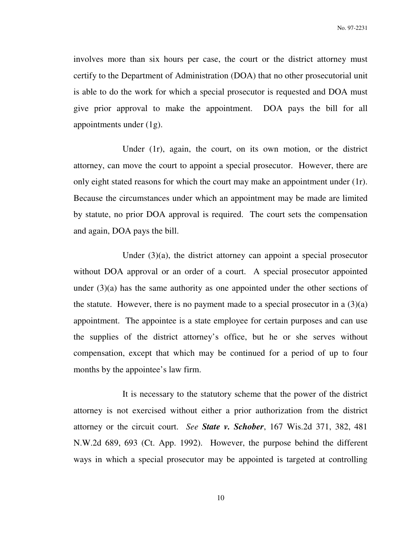involves more than six hours per case, the court or the district attorney must certify to the Department of Administration (DOA) that no other prosecutorial unit is able to do the work for which a special prosecutor is requested and DOA must give prior approval to make the appointment. DOA pays the bill for all appointments under (1g).

Under (1r), again, the court, on its own motion, or the district attorney, can move the court to appoint a special prosecutor. However, there are only eight stated reasons for which the court may make an appointment under (1r). Because the circumstances under which an appointment may be made are limited by statute, no prior DOA approval is required. The court sets the compensation and again, DOA pays the bill.

Under (3)(a), the district attorney can appoint a special prosecutor without DOA approval or an order of a court. A special prosecutor appointed under (3)(a) has the same authority as one appointed under the other sections of the statute. However, there is no payment made to a special prosecutor in a  $(3)(a)$ appointment. The appointee is a state employee for certain purposes and can use the supplies of the district attorney's office, but he or she serves without compensation, except that which may be continued for a period of up to four months by the appointee's law firm.

It is necessary to the statutory scheme that the power of the district attorney is not exercised without either a prior authorization from the district attorney or the circuit court. *See State v. Schober*, 167 Wis.2d 371, 382, 481 N.W.2d 689, 693 (Ct. App. 1992). However, the purpose behind the different ways in which a special prosecutor may be appointed is targeted at controlling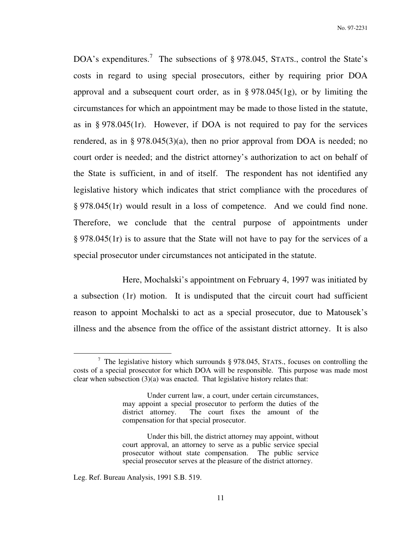DOA's expenditures.<sup>7</sup> The subsections of § 978.045, STATS., control the State's costs in regard to using special prosecutors, either by requiring prior DOA approval and a subsequent court order, as in § 978.045(1g), or by limiting the circumstances for which an appointment may be made to those listed in the statute, as in § 978.045(1r). However, if DOA is not required to pay for the services rendered, as in § 978.045(3)(a), then no prior approval from DOA is needed; no court order is needed; and the district attorney's authorization to act on behalf of the State is sufficient, in and of itself. The respondent has not identified any legislative history which indicates that strict compliance with the procedures of § 978.045(1r) would result in a loss of competence. And we could find none. Therefore, we conclude that the central purpose of appointments under § 978.045(1r) is to assure that the State will not have to pay for the services of a special prosecutor under circumstances not anticipated in the statute.

Here, Mochalski's appointment on February 4, 1997 was initiated by a subsection (1r) motion. It is undisputed that the circuit court had sufficient reason to appoint Mochalski to act as a special prosecutor, due to Matousek's illness and the absence from the office of the assistant district attorney. It is also

<sup>&</sup>lt;sup>7</sup> The legislative history which surrounds  $\S 978.045$ , STATS., focuses on controlling the costs of a special prosecutor for which DOA will be responsible. This purpose was made most clear when subsection  $(3)(a)$  was enacted. That legislative history relates that:

Under current law, a court, under certain circumstances, may appoint a special prosecutor to perform the duties of the district attorney. The court fixes the amount of the compensation for that special prosecutor.

Under this bill, the district attorney may appoint, without court approval, an attorney to serve as a public service special prosecutor without state compensation. The public service special prosecutor serves at the pleasure of the district attorney.

Leg. Ref. Bureau Analysis, 1991 S.B. 519.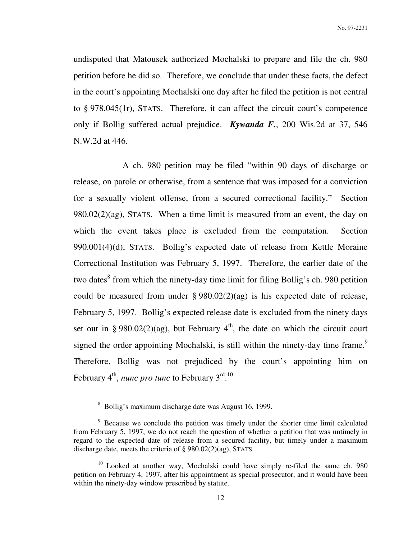No. 97-2231

undisputed that Matousek authorized Mochalski to prepare and file the ch. 980 petition before he did so. Therefore, we conclude that under these facts, the defect in the court's appointing Mochalski one day after he filed the petition is not central to § 978.045(1r), STATS. Therefore, it can affect the circuit court's competence only if Bollig suffered actual prejudice. *Kywanda F.*, 200 Wis.2d at 37, 546 N.W.2d at 446.

A ch. 980 petition may be filed "within 90 days of discharge or release, on parole or otherwise, from a sentence that was imposed for a conviction for a sexually violent offense, from a secured correctional facility." Section 980.02(2)(ag), STATS. When a time limit is measured from an event, the day on which the event takes place is excluded from the computation. Section 990.001(4)(d), STATS. Bollig's expected date of release from Kettle Moraine Correctional Institution was February 5, 1997. Therefore, the earlier date of the two dates<sup>8</sup> from which the ninety-day time limit for filing Bollig's ch. 980 petition could be measured from under  $\S 980.02(2)(ag)$  is his expected date of release, February 5, 1997. Bollig's expected release date is excluded from the ninety days set out in § 980.02(2)(ag), but February  $4<sup>th</sup>$ , the date on which the circuit court signed the order appointing Mochalski, is still within the ninety-day time frame.<sup>9</sup> Therefore, Bollig was not prejudiced by the court's appointing him on February 4<sup>th</sup>, *nunc pro tunc* to February 3<sup>rd</sup>.<sup>10</sup>

<sup>&</sup>lt;sup>8</sup> Bollig's maximum discharge date was August 16, 1999.

<sup>&</sup>lt;sup>9</sup> Because we conclude the petition was timely under the shorter time limit calculated from February 5, 1997, we do not reach the question of whether a petition that was untimely in regard to the expected date of release from a secured facility, but timely under a maximum discharge date, meets the criteria of § 980.02(2)(ag), STATS.

<sup>&</sup>lt;sup>10</sup> Looked at another way, Mochalski could have simply re-filed the same ch. 980 petition on February 4, 1997, after his appointment as special prosecutor, and it would have been within the ninety-day window prescribed by statute.